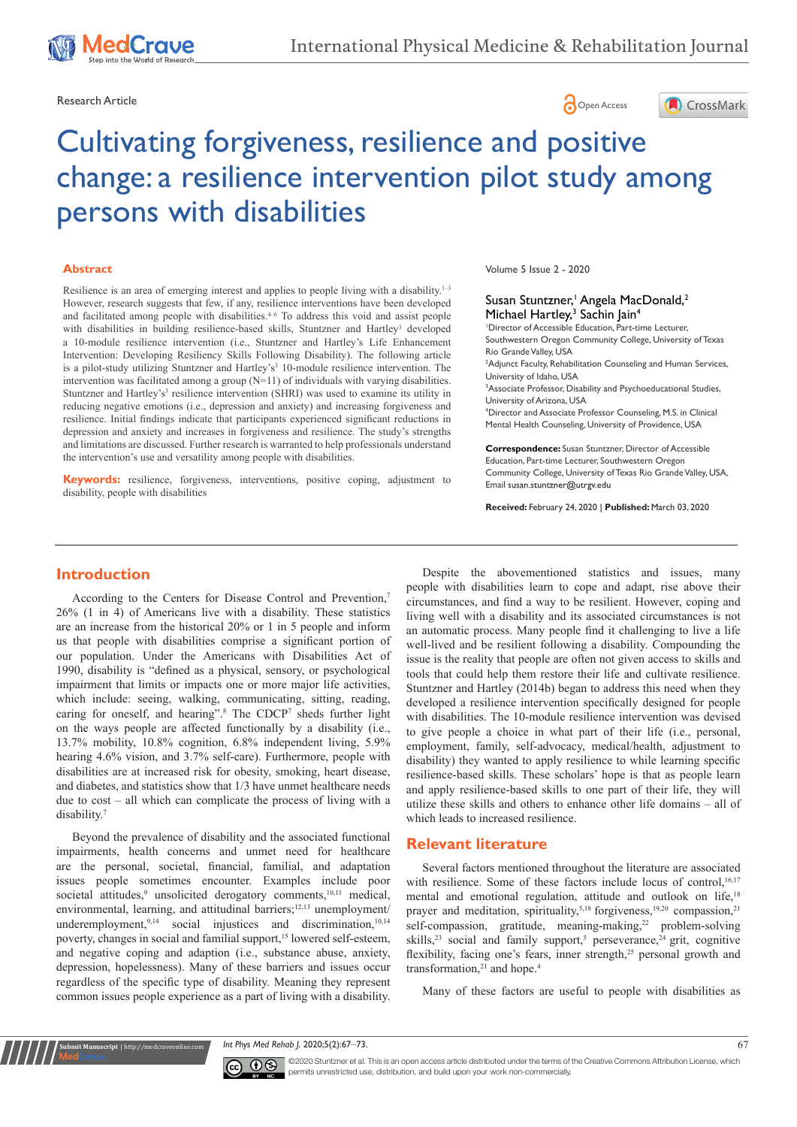





# Cultivating forgiveness, resilience and positive change: a resilience intervention pilot study among persons with disabilities

#### **Abstract**

Resilience is an area of emerging interest and applies to people living with a disability.<sup>1-3</sup> However, research suggests that few, if any, resilience interventions have been developed and facilitated among people with disabilities. $4-6$  To address this void and assist people with disabilities in building resilience-based skills, Stuntzner and Hartley<sup>3</sup> developed a 10-module resilience intervention (i.e., Stuntzner and Hartley's Life Enhancement Intervention: Developing Resiliency Skills Following Disability). The following article is a pilot-study utilizing Stuntzner and Hartley's<sup>3</sup> 10-module resilience intervention. The intervention was facilitated among a group (N=11) of individuals with varying disabilities. Stuntzner and Hartley's<sup>3</sup> resilience intervention (SHRI) was used to examine its utility in reducing negative emotions (i.e., depression and anxiety) and increasing forgiveness and resilience. Initial findings indicate that participants experienced significant reductions in depression and anxiety and increases in forgiveness and resilience. The study's strengths and limitations are discussed. Further research is warranted to help professionals understand the intervention's use and versatility among people with disabilities.

**Keywords:** resilience, forgiveness, interventions, positive coping, adjustment to disability, people with disabilities

Volume 5 Issue 2 - 2020

#### Susan Stuntzner,<sup>1</sup> Angela MacDonald,<sup>2</sup> Michael Hartley,<sup>3</sup> Sachin Jain<sup>4</sup>

1 Director of Accessible Education, Part-time Lecturer, Southwestern Oregon Community College, University of Texas Rio Grande Valley, USA

2 Adjunct Faculty, Rehabilitation Counseling and Human Services, University of Idaho, USA

3 Associate Professor, Disability and Psychoeducational Studies, University of Arizona, USA

4 Director and Associate Professor Counseling, M.S. in Clinical Mental Health Counseling, University of Providence, USA

**Correspondence:** Susan Stuntzner, Director of Accessible Education, Part-time Lecturer, Southwestern Oregon Community College, University of Texas Rio Grande Valley, USA, Email susan.stuntzner@utrgv.edu

**Received:** February 24, 2020 | **Published:** March 03, 2020

#### **Introduction**

According to the Centers for Disease Control and Prevention,<sup>7</sup> 26% (1 in 4) of Americans live with a disability. These statistics are an increase from the historical 20% or 1 in 5 people and inform us that people with disabilities comprise a significant portion of our population. Under the Americans with Disabilities Act of 1990, disability is "defined as a physical, sensory, or psychological impairment that limits or impacts one or more major life activities, which include: seeing, walking, communicating, sitting, reading, caring for oneself, and hearing".8 The CDCP7 sheds further light on the ways people are affected functionally by a disability (i.e., 13.7% mobility, 10.8% cognition, 6.8% independent living, 5.9% hearing 4.6% vision, and 3.7% self-care). Furthermore, people with disabilities are at increased risk for obesity, smoking, heart disease, and diabetes, and statistics show that 1/3 have unmet healthcare needs due to cost – all which can complicate the process of living with a disability.7

Beyond the prevalence of disability and the associated functional impairments, health concerns and unmet need for healthcare are the personal, societal, financial, familial, and adaptation issues people sometimes encounter. Examples include poor societal attitudes,<sup>9</sup> unsolicited derogatory comments,<sup>10,11</sup> medical, environmental, learning, and attitudinal barriers;<sup>12,13</sup> unemployment/ underemployment,<sup>9,14</sup> social injustices and discrimination,<sup>10,14</sup> poverty, changes in social and familial support,<sup>15</sup> lowered self-esteem, and negative coping and adaption (i.e., substance abuse, anxiety, depression, hopelessness). Many of these barriers and issues occur regardless of the specific type of disability. Meaning they represent common issues people experience as a part of living with a disability.

Despite the abovementioned statistics and issues, many people with disabilities learn to cope and adapt, rise above their circumstances, and find a way to be resilient. However, coping and living well with a disability and its associated circumstances is not an automatic process. Many people find it challenging to live a life well-lived and be resilient following a disability. Compounding the issue is the reality that people are often not given access to skills and tools that could help them restore their life and cultivate resilience. Stuntzner and Hartley (2014b) began to address this need when they developed a resilience intervention specifically designed for people with disabilities. The 10-module resilience intervention was devised to give people a choice in what part of their life (i.e., personal, employment, family, self-advocacy, medical/health, adjustment to disability) they wanted to apply resilience to while learning specific resilience-based skills. These scholars' hope is that as people learn and apply resilience-based skills to one part of their life, they will utilize these skills and others to enhance other life domains – all of which leads to increased resilience.

#### **Relevant literature**

Several factors mentioned throughout the literature are associated with resilience. Some of these factors include locus of control,<sup>16,17</sup> mental and emotional regulation, attitude and outlook on life,<sup>18</sup> prayer and meditation, spirituality,<sup>5,18</sup> forgiveness,<sup>19,20</sup> compassion,<sup>21</sup> self-compassion, gratitude, meaning-making,<sup>22</sup> problem-solving skills,<sup>23</sup> social and family support,<sup>5</sup> perseverance,<sup>24</sup> grit, cognitive flexibility, facing one's fears, inner strength,<sup>25</sup> personal growth and transformation, $21$  and hope.<sup>4</sup>

Many of these factors are useful to people with disabilities as

*Int Phys Med Rehab J.* 2020;5(2):67–73. 67



**it Manuscript** | http://medcraveonline.c

©2020 Stuntzner et al. This is an open access article distributed under the terms of the [Creative Commons Attribution License,](https://creativecommons.org/licenses/by-nc/4.0/) which permits unrestricted use, distribution, and build upon your work non-commercially.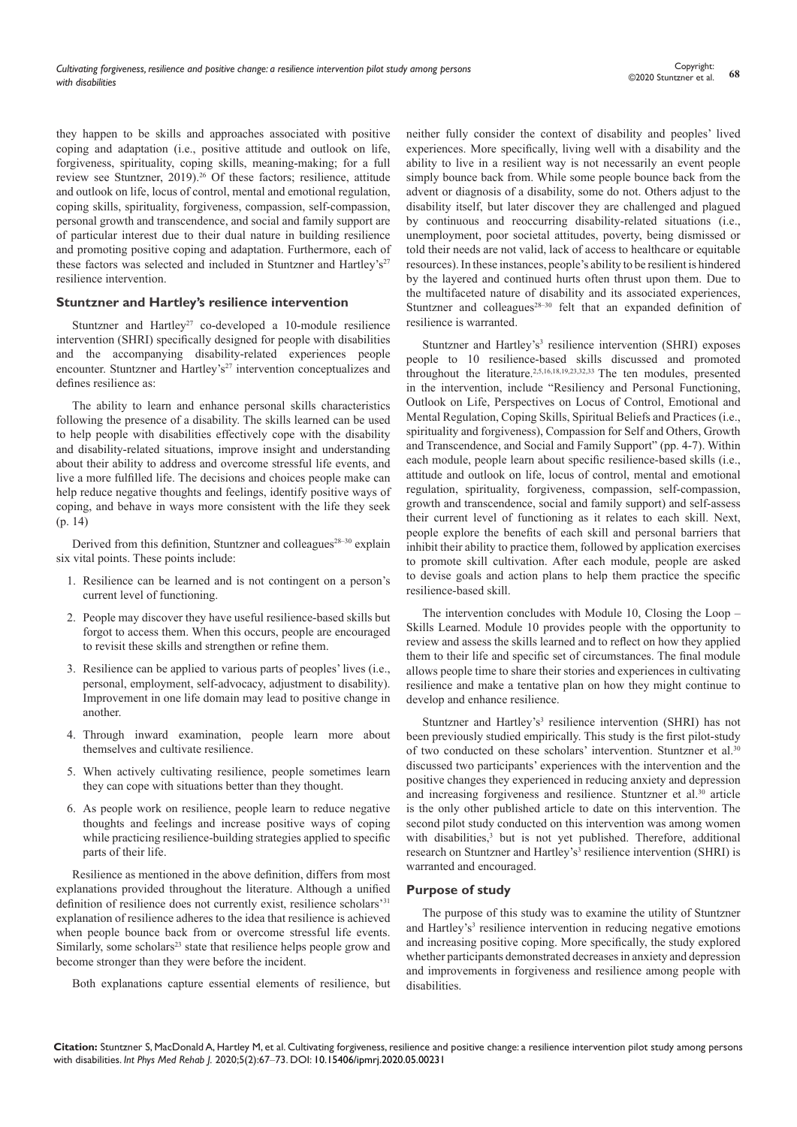they happen to be skills and approaches associated with positive coping and adaptation (i.e., positive attitude and outlook on life, forgiveness, spirituality, coping skills, meaning-making; for a full review see Stuntzner, 2019).26 Of these factors; resilience, attitude and outlook on life, locus of control, mental and emotional regulation, coping skills, spirituality, forgiveness, compassion, self-compassion, personal growth and transcendence, and social and family support are of particular interest due to their dual nature in building resilience and promoting positive coping and adaptation. Furthermore, each of these factors was selected and included in Stuntzner and Hartley's<sup>27</sup> resilience intervention.

#### **Stuntzner and Hartley's resilience intervention**

Stuntzner and Hartley<sup>27</sup> co-developed a 10-module resilience intervention (SHRI) specifically designed for people with disabilities and the accompanying disability-related experiences people encounter. Stuntzner and Hartley's<sup>27</sup> intervention conceptualizes and defines resilience as:

The ability to learn and enhance personal skills characteristics following the presence of a disability. The skills learned can be used to help people with disabilities effectively cope with the disability and disability-related situations, improve insight and understanding about their ability to address and overcome stressful life events, and live a more fulfilled life. The decisions and choices people make can help reduce negative thoughts and feelings, identify positive ways of coping, and behave in ways more consistent with the life they seek (p. 14)

Derived from this definition, Stuntzner and colleagues<sup> $28-30$ </sup> explain six vital points. These points include:

- 1. Resilience can be learned and is not contingent on a person's current level of functioning.
- 2. People may discover they have useful resilience-based skills but forgot to access them. When this occurs, people are encouraged to revisit these skills and strengthen or refine them.
- 3. Resilience can be applied to various parts of peoples' lives (i.e., personal, employment, self-advocacy, adjustment to disability). Improvement in one life domain may lead to positive change in another.
- 4. Through inward examination, people learn more about themselves and cultivate resilience.
- 5. When actively cultivating resilience, people sometimes learn they can cope with situations better than they thought.
- 6. As people work on resilience, people learn to reduce negative thoughts and feelings and increase positive ways of coping while practicing resilience-building strategies applied to specific parts of their life.

Resilience as mentioned in the above definition, differs from most explanations provided throughout the literature. Although a unified definition of resilience does not currently exist, resilience scholars'<sup>31</sup> explanation of resilience adheres to the idea that resilience is achieved when people bounce back from or overcome stressful life events. Similarly, some scholars<sup>23</sup> state that resilience helps people grow and become stronger than they were before the incident.

Both explanations capture essential elements of resilience, but

neither fully consider the context of disability and peoples' lived experiences. More specifically, living well with a disability and the ability to live in a resilient way is not necessarily an event people simply bounce back from. While some people bounce back from the advent or diagnosis of a disability, some do not. Others adjust to the disability itself, but later discover they are challenged and plagued by continuous and reoccurring disability-related situations (i.e., unemployment, poor societal attitudes, poverty, being dismissed or told their needs are not valid, lack of access to healthcare or equitable resources). In these instances, people's ability to be resilient is hindered by the layered and continued hurts often thrust upon them. Due to the multifaceted nature of disability and its associated experiences, Stuntzner and colleagues<sup>28-30</sup> felt that an expanded definition of resilience is warranted.

Stuntzner and Hartley's<sup>3</sup> resilience intervention (SHRI) exposes people to 10 resilience-based skills discussed and promoted throughout the literature.2,5,16,18,19,23,32,33 The ten modules, presented in the intervention, include "Resiliency and Personal Functioning, Outlook on Life, Perspectives on Locus of Control, Emotional and Mental Regulation, Coping Skills, Spiritual Beliefs and Practices (i.e., spirituality and forgiveness), Compassion for Self and Others, Growth and Transcendence, and Social and Family Support" (pp. 4-7). Within each module, people learn about specific resilience-based skills (i.e., attitude and outlook on life, locus of control, mental and emotional regulation, spirituality, forgiveness, compassion, self-compassion, growth and transcendence, social and family support) and self-assess their current level of functioning as it relates to each skill. Next, people explore the benefits of each skill and personal barriers that inhibit their ability to practice them, followed by application exercises to promote skill cultivation. After each module, people are asked to devise goals and action plans to help them practice the specific resilience-based skill.

The intervention concludes with Module 10, Closing the Loop – Skills Learned. Module 10 provides people with the opportunity to review and assess the skills learned and to reflect on how they applied them to their life and specific set of circumstances. The final module allows people time to share their stories and experiences in cultivating resilience and make a tentative plan on how they might continue to develop and enhance resilience.

Stuntzner and Hartley's<sup>3</sup> resilience intervention (SHRI) has not been previously studied empirically. This study is the first pilot-study of two conducted on these scholars' intervention. Stuntzner et al.30 discussed two participants' experiences with the intervention and the positive changes they experienced in reducing anxiety and depression and increasing forgiveness and resilience. Stuntzner et al.30 article is the only other published article to date on this intervention. The second pilot study conducted on this intervention was among women with disabilities,<sup>3</sup> but is not yet published. Therefore, additional research on Stuntzner and Hartley's<sup>3</sup> resilience intervention (SHRI) is warranted and encouraged.

### **Purpose of study**

The purpose of this study was to examine the utility of Stuntzner and Hartley's<sup>3</sup> resilience intervention in reducing negative emotions and increasing positive coping. More specifically, the study explored whether participants demonstrated decreases in anxiety and depression and improvements in forgiveness and resilience among people with disabilities.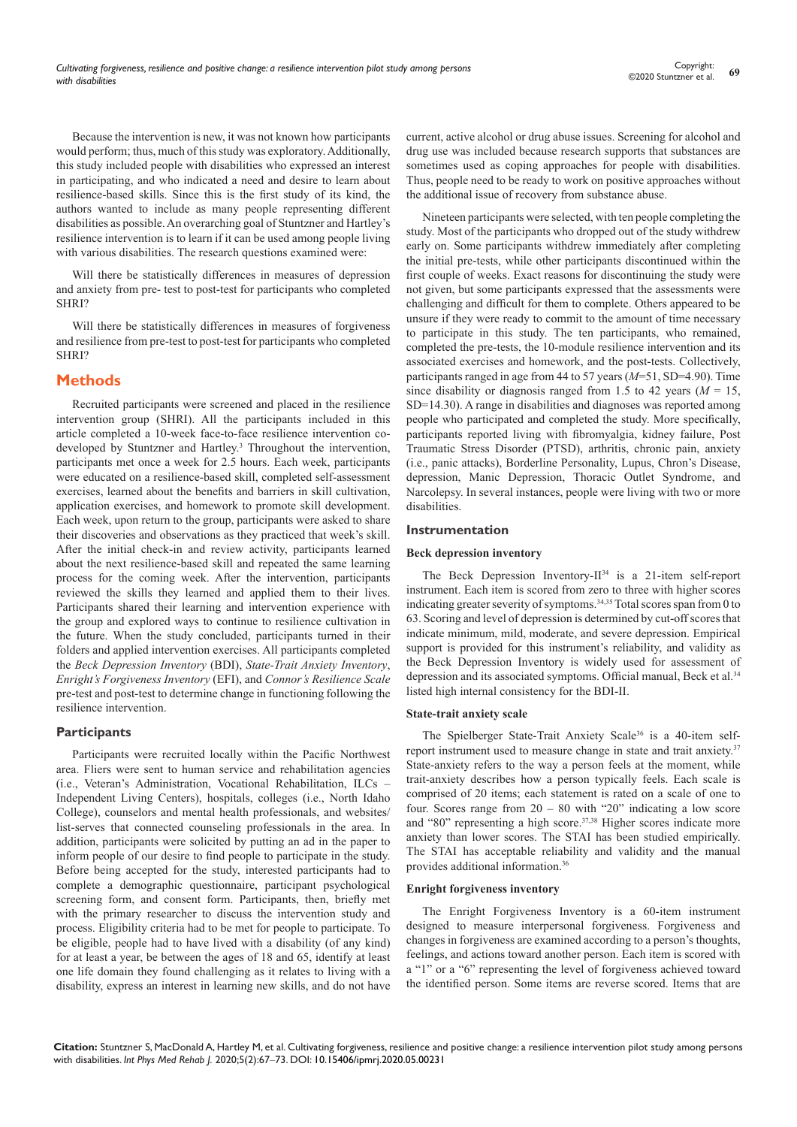Because the intervention is new, it was not known how participants would perform; thus, much of this study was exploratory. Additionally, this study included people with disabilities who expressed an interest in participating, and who indicated a need and desire to learn about resilience-based skills. Since this is the first study of its kind, the authors wanted to include as many people representing different disabilities as possible. An overarching goal of Stuntzner and Hartley's resilience intervention is to learn if it can be used among people living with various disabilities. The research questions examined were:

Will there be statistically differences in measures of depression and anxiety from pre- test to post-test for participants who completed SHRI?

Will there be statistically differences in measures of forgiveness and resilience from pre-test to post-test for participants who completed SHRI?

# **Methods**

Recruited participants were screened and placed in the resilience intervention group (SHRI). All the participants included in this article completed a 10-week face-to-face resilience intervention codeveloped by Stuntzner and Hartley.<sup>3</sup> Throughout the intervention, participants met once a week for 2.5 hours. Each week, participants were educated on a resilience-based skill, completed self-assessment exercises, learned about the benefits and barriers in skill cultivation, application exercises, and homework to promote skill development. Each week, upon return to the group, participants were asked to share their discoveries and observations as they practiced that week's skill. After the initial check-in and review activity, participants learned about the next resilience-based skill and repeated the same learning process for the coming week. After the intervention, participants reviewed the skills they learned and applied them to their lives. Participants shared their learning and intervention experience with the group and explored ways to continue to resilience cultivation in the future. When the study concluded, participants turned in their folders and applied intervention exercises. All participants completed the *Beck Depression Inventory* (BDI), *State-Trait Anxiety Inventory*, *Enright's Forgiveness Inventory* (EFI), and *Connor's Resilience Scale* pre-test and post-test to determine change in functioning following the resilience intervention.

# **Participants**

Participants were recruited locally within the Pacific Northwest area. Fliers were sent to human service and rehabilitation agencies (i.e., Veteran's Administration, Vocational Rehabilitation, ILCs – Independent Living Centers), hospitals, colleges (i.e., North Idaho College), counselors and mental health professionals, and websites/ list-serves that connected counseling professionals in the area. In addition, participants were solicited by putting an ad in the paper to inform people of our desire to find people to participate in the study. Before being accepted for the study, interested participants had to complete a demographic questionnaire, participant psychological screening form, and consent form. Participants, then, briefly met with the primary researcher to discuss the intervention study and process. Eligibility criteria had to be met for people to participate. To be eligible, people had to have lived with a disability (of any kind) for at least a year, be between the ages of 18 and 65, identify at least one life domain they found challenging as it relates to living with a disability, express an interest in learning new skills, and do not have current, active alcohol or drug abuse issues. Screening for alcohol and drug use was included because research supports that substances are sometimes used as coping approaches for people with disabilities. Thus, people need to be ready to work on positive approaches without the additional issue of recovery from substance abuse.

Nineteen participants were selected, with ten people completing the study. Most of the participants who dropped out of the study withdrew early on. Some participants withdrew immediately after completing the initial pre-tests, while other participants discontinued within the first couple of weeks. Exact reasons for discontinuing the study were not given, but some participants expressed that the assessments were challenging and difficult for them to complete. Others appeared to be unsure if they were ready to commit to the amount of time necessary to participate in this study. The ten participants, who remained, completed the pre-tests, the 10-module resilience intervention and its associated exercises and homework, and the post-tests. Collectively, participants ranged in age from 44 to 57 years (*M*=51, SD=4.90). Time since disability or diagnosis ranged from 1.5 to 42 years  $(M = 15$ , SD=14.30). A range in disabilities and diagnoses was reported among people who participated and completed the study. More specifically, participants reported living with fibromyalgia, kidney failure, Post Traumatic Stress Disorder (PTSD), arthritis, chronic pain, anxiety (i.e., panic attacks), Borderline Personality, Lupus, Chron's Disease, depression, Manic Depression, Thoracic Outlet Syndrome, and Narcolepsy. In several instances, people were living with two or more disabilities.

#### **Instrumentation**

#### **Beck depression inventory**

The Beck Depression Inventory- $II^{34}$  is a 21-item self-report instrument. Each item is scored from zero to three with higher scores indicating greater severity of symptoms.<sup>34,35</sup> Total scores span from 0 to 63. Scoring and level of depression is determined by cut-off scores that indicate minimum, mild, moderate, and severe depression. Empirical support is provided for this instrument's reliability, and validity as the Beck Depression Inventory is widely used for assessment of depression and its associated symptoms. Official manual, Beck et al.<sup>34</sup> listed high internal consistency for the BDI-II.

#### **State-trait anxiety scale**

The Spielberger State-Trait Anxiety Scale<sup>36</sup> is a 40-item selfreport instrument used to measure change in state and trait anxiety.<sup>37</sup> State-anxiety refers to the way a person feels at the moment, while trait-anxiety describes how a person typically feels. Each scale is comprised of 20 items; each statement is rated on a scale of one to four. Scores range from 20 – 80 with "20" indicating a low score and "80" representing a high score.<sup>37,38</sup> Higher scores indicate more anxiety than lower scores. The STAI has been studied empirically. The STAI has acceptable reliability and validity and the manual provides additional information.36

#### **Enright forgiveness inventory**

The Enright Forgiveness Inventory is a 60-item instrument designed to measure interpersonal forgiveness. Forgiveness and changes in forgiveness are examined according to a person's thoughts, feelings, and actions toward another person. Each item is scored with a "1" or a "6" representing the level of forgiveness achieved toward the identified person. Some items are reverse scored. Items that are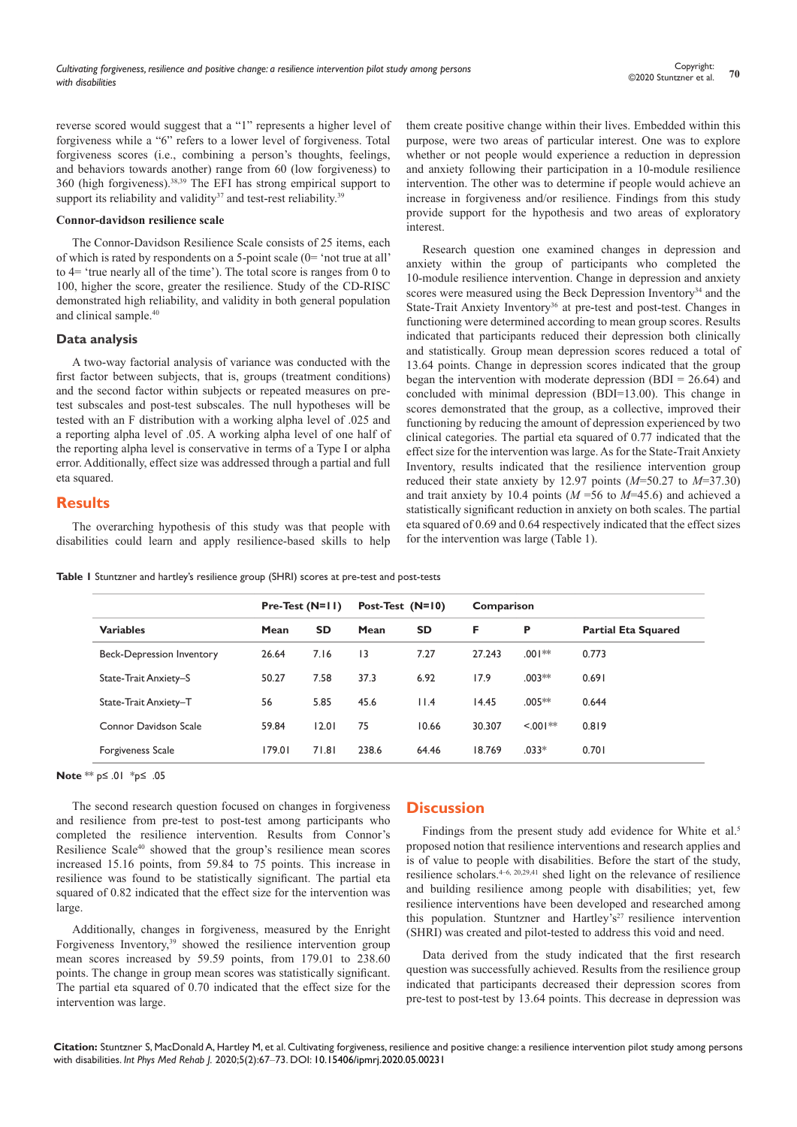reverse scored would suggest that a "1" represents a higher level of forgiveness while a "6" refers to a lower level of forgiveness. Total forgiveness scores (i.e., combining a person's thoughts, feelings, and behaviors towards another) range from 60 (low forgiveness) to 360 (high forgiveness).38,39 The EFI has strong empirical support to support its reliability and validity $37$  and test-rest reliability.<sup>39</sup>

#### **Connor-davidson resilience scale**

The Connor-Davidson Resilience Scale consists of 25 items, each of which is rated by respondents on a 5-point scale (0= 'not true at all' to 4= 'true nearly all of the time'). The total score is ranges from 0 to 100, higher the score, greater the resilience. Study of the CD-RISC demonstrated high reliability, and validity in both general population and clinical sample.<sup>40</sup>

#### **Data analysis**

A two-way factorial analysis of variance was conducted with the first factor between subjects, that is, groups (treatment conditions) and the second factor within subjects or repeated measures on pretest subscales and post-test subscales. The null hypotheses will be tested with an F distribution with a working alpha level of .025 and a reporting alpha level of .05. A working alpha level of one half of the reporting alpha level is conservative in terms of a Type I or alpha error. Additionally, effect size was addressed through a partial and full eta squared.

## **Results**

The overarching hypothesis of this study was that people with disabilities could learn and apply resilience-based skills to help

them create positive change within their lives. Embedded within this purpose, were two areas of particular interest. One was to explore whether or not people would experience a reduction in depression and anxiety following their participation in a 10-module resilience intervention. The other was to determine if people would achieve an increase in forgiveness and/or resilience. Findings from this study provide support for the hypothesis and two areas of exploratory interest.

Research question one examined changes in depression and anxiety within the group of participants who completed the 10-module resilience intervention. Change in depression and anxiety scores were measured using the Beck Depression Inventory<sup>34</sup> and the State-Trait Anxiety Inventory<sup>36</sup> at pre-test and post-test. Changes in functioning were determined according to mean group scores. Results indicated that participants reduced their depression both clinically and statistically. Group mean depression scores reduced a total of 13.64 points. Change in depression scores indicated that the group began the intervention with moderate depression  $(BDI = 26.64)$  and concluded with minimal depression (BDI=13.00). This change in scores demonstrated that the group, as a collective, improved their functioning by reducing the amount of depression experienced by two clinical categories. The partial eta squared of 0.77 indicated that the effect size for the intervention was large. As for the State-Trait Anxiety Inventory, results indicated that the resilience intervention group reduced their state anxiety by 12.97 points (*M*=50.27 to *M*=37.30) and trait anxiety by 10.4 points (*M* =56 to *M*=45.6) and achieved a statistically significant reduction in anxiety on both scales. The partial eta squared of 0.69 and 0.64 respectively indicated that the effect sizes for the intervention was large (Table 1).

**Table 1** Stuntzner and hartley's resilience group (SHRI) scores at pre-test and post-tests

| <b>Variables</b>                 | Pre-Test $(N=1)$ |           | Post-Test $(N=10)$ |           | Comparison |              |                            |
|----------------------------------|------------------|-----------|--------------------|-----------|------------|--------------|----------------------------|
|                                  | Mean             | <b>SD</b> | Mean               | <b>SD</b> | F          | Р            | <b>Partial Eta Squared</b> |
| <b>Beck-Depression Inventory</b> | 26.64            | 7.16      | 13                 | 7.27      | 27.243     | $.001**$     | 0.773                      |
| State-Trait Anxiety-S            | 50.27            | 7.58      | 37.3               | 6.92      | 17.9       | $.003**$     | 0.691                      |
| State-Trait Anxiety-T            | 56               | 5.85      | 45.6               | 11.4      | 14.45      | $.005**$     | 0.644                      |
| Connor Davidson Scale            | 59.84            | 12.01     | 75                 | 10.66     | 30.307     | $1$ <.00  ** | 0.819                      |
| Forgiveness Scale                | 179.01           | 71.81     | 238.6              | 64.46     | 18.769     | $.033*$      | 0.701                      |

**Note** \*\* p≤ .01 \*p≤ .05

The second research question focused on changes in forgiveness and resilience from pre-test to post-test among participants who completed the resilience intervention. Results from Connor's Resilience Scale<sup>40</sup> showed that the group's resilience mean scores increased 15.16 points, from 59.84 to 75 points. This increase in resilience was found to be statistically significant. The partial eta squared of 0.82 indicated that the effect size for the intervention was large.

Additionally, changes in forgiveness, measured by the Enright Forgiveness Inventory,<sup>39</sup> showed the resilience intervention group mean scores increased by 59.59 points, from 179.01 to 238.60 points. The change in group mean scores was statistically significant. The partial eta squared of 0.70 indicated that the effect size for the intervention was large.

# **Discussion**

Findings from the present study add evidence for White et al.<sup>5</sup> proposed notion that resilience interventions and research applies and is of value to people with disabilities. Before the start of the study, resilience scholars. $4-6$ ,  $20,29,41$  shed light on the relevance of resilience and building resilience among people with disabilities; yet, few resilience interventions have been developed and researched among this population. Stuntzner and Hartley's<sup>27</sup> resilience intervention (SHRI) was created and pilot-tested to address this void and need.

Data derived from the study indicated that the first research question was successfully achieved. Results from the resilience group indicated that participants decreased their depression scores from pre-test to post-test by 13.64 points. This decrease in depression was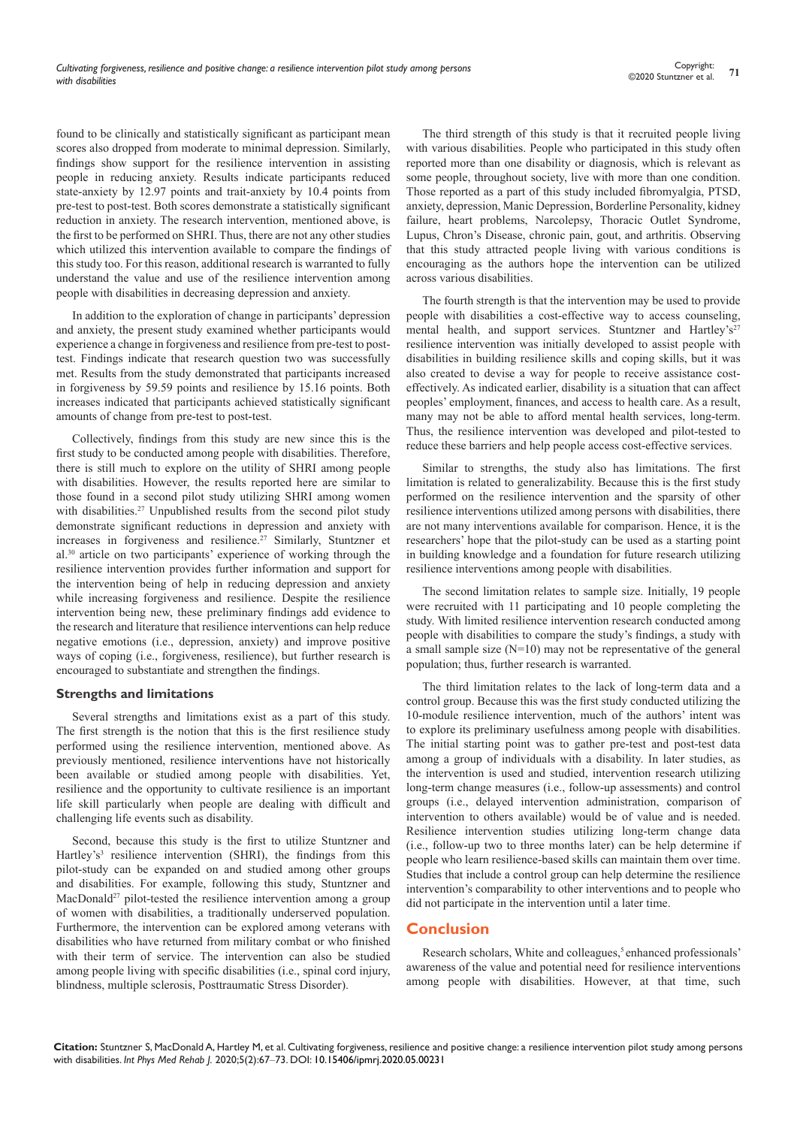found to be clinically and statistically significant as participant mean scores also dropped from moderate to minimal depression. Similarly, findings show support for the resilience intervention in assisting people in reducing anxiety. Results indicate participants reduced state-anxiety by 12.97 points and trait-anxiety by 10.4 points from pre-test to post-test. Both scores demonstrate a statistically significant reduction in anxiety. The research intervention, mentioned above, is the first to be performed on SHRI. Thus, there are not any other studies which utilized this intervention available to compare the findings of this study too. For this reason, additional research is warranted to fully understand the value and use of the resilience intervention among people with disabilities in decreasing depression and anxiety.

In addition to the exploration of change in participants' depression and anxiety, the present study examined whether participants would experience a change in forgiveness and resilience from pre-test to posttest. Findings indicate that research question two was successfully met. Results from the study demonstrated that participants increased in forgiveness by 59.59 points and resilience by 15.16 points. Both increases indicated that participants achieved statistically significant amounts of change from pre-test to post-test.

Collectively, findings from this study are new since this is the first study to be conducted among people with disabilities. Therefore, there is still much to explore on the utility of SHRI among people with disabilities. However, the results reported here are similar to those found in a second pilot study utilizing SHRI among women with disabilities.<sup>27</sup> Unpublished results from the second pilot study demonstrate significant reductions in depression and anxiety with increases in forgiveness and resilience.<sup>27</sup> Similarly, Stuntzner et al.30 article on two participants' experience of working through the resilience intervention provides further information and support for the intervention being of help in reducing depression and anxiety while increasing forgiveness and resilience. Despite the resilience intervention being new, these preliminary findings add evidence to the research and literature that resilience interventions can help reduce negative emotions (i.e., depression, anxiety) and improve positive ways of coping (i.e., forgiveness, resilience), but further research is encouraged to substantiate and strengthen the findings.

#### **Strengths and limitations**

Several strengths and limitations exist as a part of this study. The first strength is the notion that this is the first resilience study performed using the resilience intervention, mentioned above. As previously mentioned, resilience interventions have not historically been available or studied among people with disabilities. Yet, resilience and the opportunity to cultivate resilience is an important life skill particularly when people are dealing with difficult and challenging life events such as disability.

Second, because this study is the first to utilize Stuntzner and Hartley's<sup>3</sup> resilience intervention (SHRI), the findings from this pilot-study can be expanded on and studied among other groups and disabilities. For example, following this study, Stuntzner and MacDonald<sup>27</sup> pilot-tested the resilience intervention among a group of women with disabilities, a traditionally underserved population. Furthermore, the intervention can be explored among veterans with disabilities who have returned from military combat or who finished with their term of service. The intervention can also be studied among people living with specific disabilities (i.e., spinal cord injury, blindness, multiple sclerosis, Posttraumatic Stress Disorder).

The third strength of this study is that it recruited people living with various disabilities. People who participated in this study often reported more than one disability or diagnosis, which is relevant as some people, throughout society, live with more than one condition. Those reported as a part of this study included fibromyalgia, PTSD, anxiety, depression, Manic Depression, Borderline Personality, kidney failure, heart problems, Narcolepsy, Thoracic Outlet Syndrome, Lupus, Chron's Disease, chronic pain, gout, and arthritis. Observing that this study attracted people living with various conditions is encouraging as the authors hope the intervention can be utilized across various disabilities.

The fourth strength is that the intervention may be used to provide people with disabilities a cost-effective way to access counseling, mental health, and support services. Stuntzner and Hartley's<sup>27</sup> resilience intervention was initially developed to assist people with disabilities in building resilience skills and coping skills, but it was also created to devise a way for people to receive assistance costeffectively. As indicated earlier, disability is a situation that can affect peoples' employment, finances, and access to health care. As a result, many may not be able to afford mental health services, long-term. Thus, the resilience intervention was developed and pilot-tested to reduce these barriers and help people access cost-effective services.

Similar to strengths, the study also has limitations. The first limitation is related to generalizability. Because this is the first study performed on the resilience intervention and the sparsity of other resilience interventions utilized among persons with disabilities, there are not many interventions available for comparison. Hence, it is the researchers' hope that the pilot-study can be used as a starting point in building knowledge and a foundation for future research utilizing resilience interventions among people with disabilities.

The second limitation relates to sample size. Initially, 19 people were recruited with 11 participating and 10 people completing the study. With limited resilience intervention research conducted among people with disabilities to compare the study's findings, a study with a small sample size (N=10) may not be representative of the general population; thus, further research is warranted.

The third limitation relates to the lack of long-term data and a control group. Because this was the first study conducted utilizing the 10-module resilience intervention, much of the authors' intent was to explore its preliminary usefulness among people with disabilities. The initial starting point was to gather pre-test and post-test data among a group of individuals with a disability. In later studies, as the intervention is used and studied, intervention research utilizing long-term change measures (i.e., follow-up assessments) and control groups (i.e., delayed intervention administration, comparison of intervention to others available) would be of value and is needed. Resilience intervention studies utilizing long-term change data (i.e., follow-up two to three months later) can be help determine if people who learn resilience-based skills can maintain them over time. Studies that include a control group can help determine the resilience intervention's comparability to other interventions and to people who did not participate in the intervention until a later time.

# **Conclusion**

Research scholars, White and colleagues,<sup>5</sup> enhanced professionals' awareness of the value and potential need for resilience interventions among people with disabilities. However, at that time, such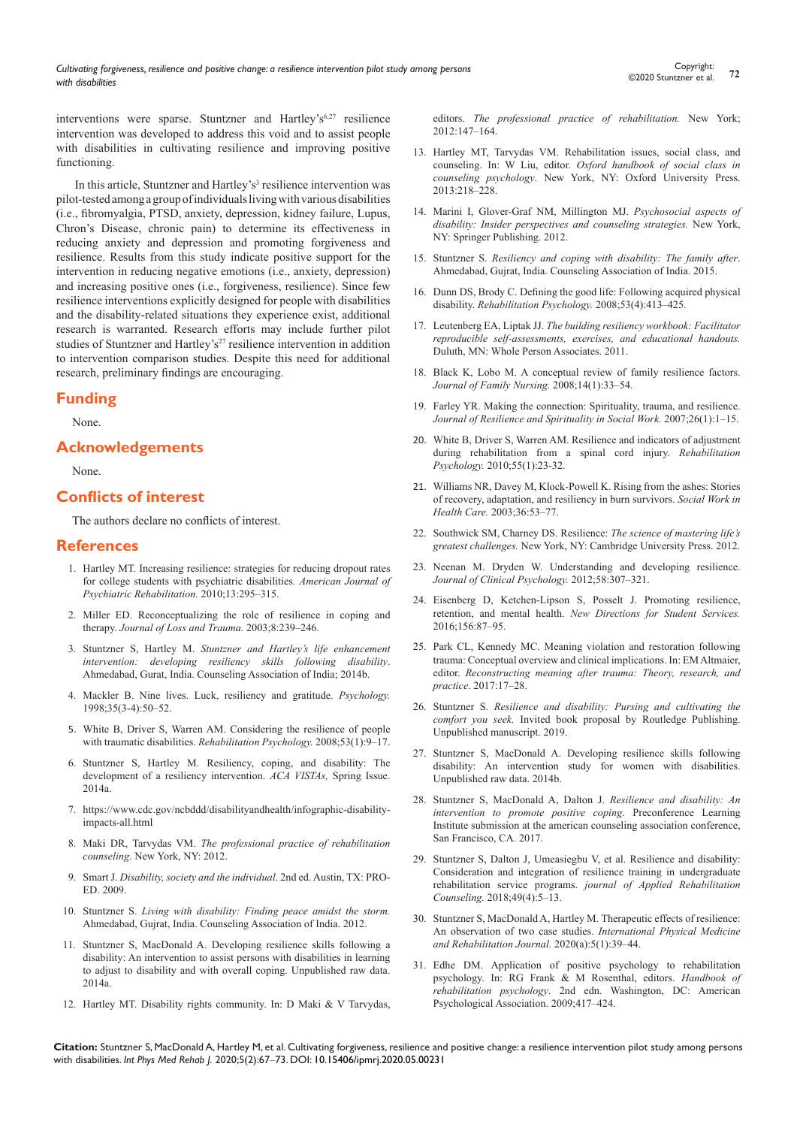interventions were sparse. Stuntzner and Hartley's<sup>6,27</sup> resilience intervention was developed to address this void and to assist people with disabilities in cultivating resilience and improving positive functioning.

In this article, Stuntzner and Hartley's<sup>3</sup> resilience intervention was pilot-tested among a group of individuals living with various disabilities (i.e., fibromyalgia, PTSD, anxiety, depression, kidney failure, Lupus, Chron's Disease, chronic pain) to determine its effectiveness in reducing anxiety and depression and promoting forgiveness and resilience. Results from this study indicate positive support for the intervention in reducing negative emotions (i.e., anxiety, depression) and increasing positive ones (i.e., forgiveness, resilience). Since few resilience interventions explicitly designed for people with disabilities and the disability-related situations they experience exist, additional research is warranted. Research efforts may include further pilot studies of Stuntzner and Hartley's<sup>27</sup> resilience intervention in addition to intervention comparison studies. Despite this need for additional research, preliminary findings are encouraging.

# **Funding**

None.

# **Acknowledgements**

None.

# **Conflicts of interest**

The authors declare no conflicts of interest.

#### **References**

- 1. [Hartley MT. Increasing resilience: strategies for reducing dropout rates](https://www.tandfonline.com/doi/abs/10.1080/15487768.2010.523372)  [for college students with psychiatric disabilities.](https://www.tandfonline.com/doi/abs/10.1080/15487768.2010.523372) *American Journal of [Psychiatric Rehabilitation.](https://www.tandfonline.com/doi/abs/10.1080/15487768.2010.523372)* 2010;13:295–315.
- 2. [Miller ED. Reconceptualizing the role of resilience in coping and](https://www.tandfonline.com/doi/abs/10.1080/15325020305881)  therapy. *[Journal of Loss and Trauma.](https://www.tandfonline.com/doi/abs/10.1080/15325020305881)* 2003;8:239–246.
- 3. Stuntzner S, Hartley M. *[Stuntzner and Hartley's life enhancement](https://therapeutic-healing-disability.com/wp-content/uploads/sites/3/2015/04/Stuntzner_and_Hartley_Resilience_Intervention_Information_Page_and_Links.pdf)  [intervention: developing resiliency skills following disability](https://therapeutic-healing-disability.com/wp-content/uploads/sites/3/2015/04/Stuntzner_and_Hartley_Resilience_Intervention_Information_Page_and_Links.pdf)*. [Ahmedabad, Gurat, India. Counseling Association of India; 2014b.](https://therapeutic-healing-disability.com/wp-content/uploads/sites/3/2015/04/Stuntzner_and_Hartley_Resilience_Intervention_Information_Page_and_Links.pdf)
- 4. [Mackler B. Nine lives. Luck, resiliency and gratitude.](https://www.counseling.org/docs/default-source/vistas/article_44.pdf?sfvrsn=8) *Psychology.*  [1998;35\(3-4\):50–52.](https://www.counseling.org/docs/default-source/vistas/article_44.pdf?sfvrsn=8)
- 5. [White B, Driver S, Warren AM. Considering the resilience of people](https://psycnet.apa.org/record/2008-01899-002)  with traumatic disabilities. *[Rehabilitation Psychology.](https://psycnet.apa.org/record/2008-01899-002)* 2008;53(1):9–17.
- 6. [Stuntzner S, Hartley M. Resiliency, coping, and disability: The](https://www.counseling.org/docs/default-source/vistas/article_44.pdf?sfvrsn=8)  [development of a resiliency intervention.](https://www.counseling.org/docs/default-source/vistas/article_44.pdf?sfvrsn=8) *ACA VISTAs,* Spring Issue. [2014a.](https://www.counseling.org/docs/default-source/vistas/article_44.pdf?sfvrsn=8)
- 7. [https://www.cdc.gov/ncbddd/disabilityandhealth/infographic-disability](https://www.cdc.gov/ncbddd/disabilityandhealth/infographic-disability-impacts-all.html)[impacts-all.html](https://www.cdc.gov/ncbddd/disabilityandhealth/infographic-disability-impacts-all.html)
- 8. Maki DR, Tarvydas VM. *[The professional practice of rehabilitation](https://psycnet.apa.org/record/2012-30921-000)  counseling*[. New York, NY: 2012.](https://psycnet.apa.org/record/2012-30921-000)
- 9. Smart J. *[Disability, society and the individual](https://www.redshelf.com/book/271969/disability-society-and-the-individual-third-edition-14178-271969-9781416410010-julie-smart)*. 2nd ed. Austin, TX: PRO-[ED. 2009.](https://www.redshelf.com/book/271969/disability-society-and-the-individual-third-edition-14178-271969-9781416410010-julie-smart)
- 10. Stuntzner S. *Living with disability: Finding peace amidst the storm.*  Ahmedabad, Gujrat, India. Counseling Association of India. 2012.
- 11. [Stuntzner S, MacDonald A. Developing resilience skills following a](https://www.counseling.org/docs/default-source/vistas/article_44.pdf?sfvrsn=8)  [disability: An intervention to assist persons with disabilities in learning](https://www.counseling.org/docs/default-source/vistas/article_44.pdf?sfvrsn=8)  [to adjust to disability and with overall coping. Unpublished raw data.](https://www.counseling.org/docs/default-source/vistas/article_44.pdf?sfvrsn=8)  [2014a.](https://www.counseling.org/docs/default-source/vistas/article_44.pdf?sfvrsn=8)
- 12. [Hartley MT. Disability rights community. In: D Maki & V Tarvydas,](http://lghttp.48653.nexcesscdn.net/80223CF/springer-static/media/samplechapters/9780826107381/9780826107381_chapter.pdf)

editors. *[The professional practice of rehabilitation.](http://lghttp.48653.nexcesscdn.net/80223CF/springer-static/media/samplechapters/9780826107381/9780826107381_chapter.pdf)* New York; [2012:147–164.](http://lghttp.48653.nexcesscdn.net/80223CF/springer-static/media/samplechapters/9780826107381/9780826107381_chapter.pdf)

- 13. [Hartley MT, Tarvydas VM. Rehabilitation issues, social class, and](https://www.oxfordhandbooks.com/view/10.1093/oxfordhb/9780195398250.001.0001/oxfordhb-9780195398250)  counseling. In: W Liu, editor. *[Oxford handbook of social class in](https://www.oxfordhandbooks.com/view/10.1093/oxfordhb/9780195398250.001.0001/oxfordhb-9780195398250)  counseling psychology*[. New York, NY: Oxford University Press.](https://www.oxfordhandbooks.com/view/10.1093/oxfordhb/9780195398250.001.0001/oxfordhb-9780195398250)  [2013:218–228.](https://www.oxfordhandbooks.com/view/10.1093/oxfordhb/9780195398250.001.0001/oxfordhb-9780195398250)
- 14. [Marini I, Glover-Graf NM, Millington MJ.](http://lghttp.48653.nexcesscdn.net/80223CF/springer-static/media/samplechapters/9780826106025/9780826106025_chapter.pdf) *Psychosocial aspects of [disability: Insider perspectives and counseling strategies.](http://lghttp.48653.nexcesscdn.net/80223CF/springer-static/media/samplechapters/9780826106025/9780826106025_chapter.pdf)* New York, [NY: Springer Publishing. 2012.](http://lghttp.48653.nexcesscdn.net/80223CF/springer-static/media/samplechapters/9780826106025/9780826106025_chapter.pdf)
- 15. Stuntzner S. *Resiliency and coping with disability: The family after*. Ahmedabad, Gujrat, India. Counseling Association of India. 2015.
- 16. [Dunn DS, Brody C. Defining the good life: Following acquired physical](https://www.semanticscholar.org/paper/Defining-the-good-life-following-acquired-physical-Dunn-Brody/6b2d6524cdca08e6ab30db2dc9932c4b82712312)  disability. *[Rehabilitation Psychology.](https://www.semanticscholar.org/paper/Defining-the-good-life-following-acquired-physical-Dunn-Brody/6b2d6524cdca08e6ab30db2dc9932c4b82712312)* 2008;53(4):413–425.
- 17. Leutenberg EA, Liptak JJ. *[The building resiliency workbook: Facilitator](https://wholeperson.com/pdf/BuildingResiliencyWorkbook.pdf)  [reproducible self-assessments, exercises, and educational handouts.](https://wholeperson.com/pdf/BuildingResiliencyWorkbook.pdf)* [Duluth, MN: Whole Person Associates. 2011.](https://wholeperson.com/pdf/BuildingResiliencyWorkbook.pdf)
- 18. [Black K, Lobo M. A conceptual review of family resilience factors.](https://www.ncbi.nlm.nih.gov/pubmed/18281642)  *[Journal of Family Nursing.](https://www.ncbi.nlm.nih.gov/pubmed/18281642)* 2008;14(1):33–54.
- 19. [Farley YR. Making the connection: Spirituality, trauma, and resilience.](https://www.tandfonline.com/doi/abs/10.1300/J377v26n01_01)  *[Journal of Resilience and Spirituality in Social Work.](https://www.tandfonline.com/doi/abs/10.1300/J377v26n01_01)* 2007;26(1):1–15.
- 20. [White B, Driver S, Warren AM. Resilience and indicators of adjustment](https://www.ncbi.nlm.nih.gov/pubmed/20175631)  [during rehabilitation from a spinal cord injury.](https://www.ncbi.nlm.nih.gov/pubmed/20175631) *Rehabilitation Psychology.* [2010;55\(1\):23-32.](https://www.ncbi.nlm.nih.gov/pubmed/20175631)
- 21. [Williams NR, Davey M, Klock-Powell K. Rising from the ashes: Stories](https://europepmc.org/article/med/12836780)  [of recovery, adaptation, and resiliency in burn survivors.](https://europepmc.org/article/med/12836780) *Social Work in Health Care.* [2003;36:53–77.](https://europepmc.org/article/med/12836780)
- 22. [Southwick SM, Charney DS. Resilience:](https://books.google.co.in/books/about/Resilience.html?id=2QjVbwAACAAJ&redir_esc=y) *The science of mastering life's greatest challenges.* [New York, NY: Cambridge University Press. 2012.](https://books.google.co.in/books/about/Resilience.html?id=2QjVbwAACAAJ&redir_esc=y)
- 23. Neenan M. Dryden W. Understanding and developing resilience. *Journal of Clinical Psychology.* 2012;58:307–321.
- 24. [Eisenberg D, Ketchen-Lipson S, Posselt J. Promoting resilience,](https://web-app.usc.edu/web/rossier/publications/219/Eisenberg%20Lipson%20Posselt_2016_Promoting.pdf)  retention, and mental health. *[New Directions for Student Services.](https://web-app.usc.edu/web/rossier/publications/219/Eisenberg%20Lipson%20Posselt_2016_Promoting.pdf)*  [2016;156:87–95.](https://web-app.usc.edu/web/rossier/publications/219/Eisenberg%20Lipson%20Posselt_2016_Promoting.pdf)
- 25. [Park CL, Kennedy MC. Meaning violation and restoration following](https://www.sciencedirect.com/science/article/pii/B9780128030158000024)  [trauma: Conceptual overview and clinical implications. In: EM Altmaier,](https://www.sciencedirect.com/science/article/pii/B9780128030158000024)  editor. *[Reconstructing meaning after trauma: Theory, research, and](https://www.sciencedirect.com/science/article/pii/B9780128030158000024)  practice*[. 2017:17–28.](https://www.sciencedirect.com/science/article/pii/B9780128030158000024)
- 26. Stuntzner S. *Resilience and disability: Pursing and cultivating the comfort you seek.* Invited book proposal by Routledge Publishing. Unpublished manuscript. 2019.
- 27. Stuntzner S, MacDonald A. Developing resilience skills following disability: An intervention study for women with disabilities. Unpublished raw data. 2014b.
- 28. Stuntzner S, MacDonald A, Dalton J. *Resilience and disability: An intervention to promote positive coping*. Preconference Learning Institute submission at the american counseling association conference, San Francisco, CA. 2017.
- 29. [Stuntzner S, Dalton J, Umeasiegbu V, et al. Resilience and disability:](https://therapeutic-healing-disability.com/wp-content/uploads/sites/3/2019/10/Resilience-and-Disability-Article-JARC.pdf)  [Consideration and integration of resilience training in undergraduate](https://therapeutic-healing-disability.com/wp-content/uploads/sites/3/2019/10/Resilience-and-Disability-Article-JARC.pdf)  rehabilitation service programs. *[journal of Applied Rehabilitation](https://therapeutic-healing-disability.com/wp-content/uploads/sites/3/2019/10/Resilience-and-Disability-Article-JARC.pdf)  Counseling.* [2018;49\(4\):5–13.](https://therapeutic-healing-disability.com/wp-content/uploads/sites/3/2019/10/Resilience-and-Disability-Article-JARC.pdf)
- 30. [Stuntzner S, MacDonald A, Hartley M. Therapeutic effects of resilience:](https://medcraveonline.com/IPMRJ/IPMRJ-05-00226.pdf)  [An observation of two case studies.](https://medcraveonline.com/IPMRJ/IPMRJ-05-00226.pdf) *International Physical Medicine [and Rehabilitation Journal.](https://medcraveonline.com/IPMRJ/IPMRJ-05-00226.pdf)* 2020(a):5(1):39–44.
- 31. [Edhe DM. Application of positive psychology to rehabilitation](https://www.apa.org/pubs/journals/features/rep-rep0000082.pdf)  [psychology. In: RG Frank & M Rosenthal, editors.](https://www.apa.org/pubs/journals/features/rep-rep0000082.pdf) *Handbook of rehabilitation psychology*[. 2nd edn. Washington, DC: American](https://www.apa.org/pubs/journals/features/rep-rep0000082.pdf)  [Psychological Association. 2009;417–424.](https://www.apa.org/pubs/journals/features/rep-rep0000082.pdf)

**Citation:** Stuntzner S, MacDonald A, Hartley M, et al. Cultivating forgiveness, resilience and positive change: a resilience intervention pilot study among persons with disabilities. *Int Phys Med Rehab J.* 2020;5(2):67‒73. DOI: [10.15406/ipmrj.2020.05.00231](https://doi.org/10.15406/ipmrj.2020.05.00231)